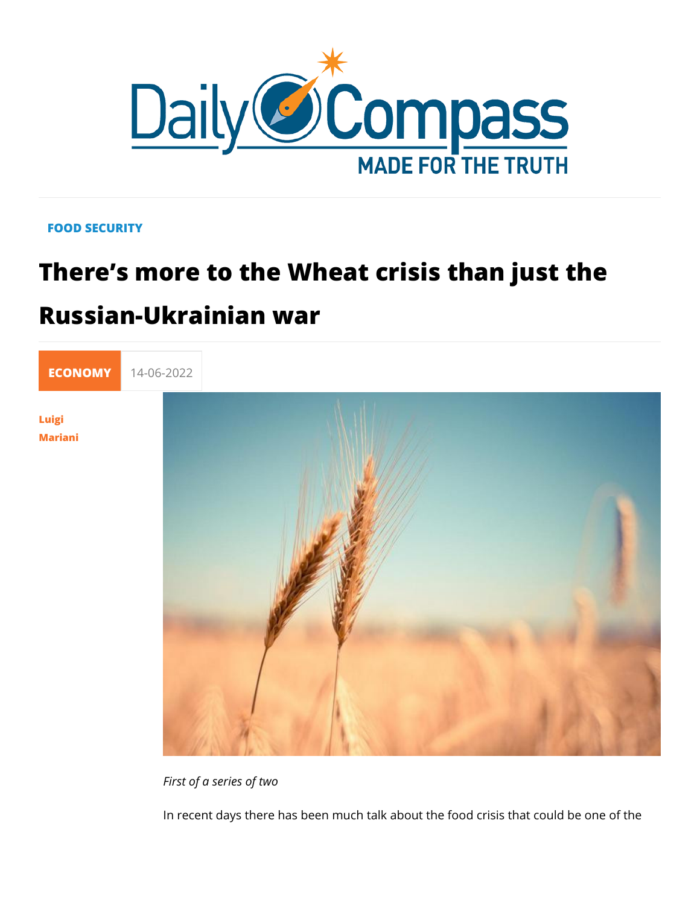## FOOD SECURITY

# There s more to the Wheat crisis than Russian-Ukrainian war

[ECONO](https://newdailycompass.com/en/economy)M 14-06-2022

[Luig](/en/luigi-mariani)i [Maria](/en/luigi-mariani)ni

First of a series of two

In recent days there has been much talk about the food crisis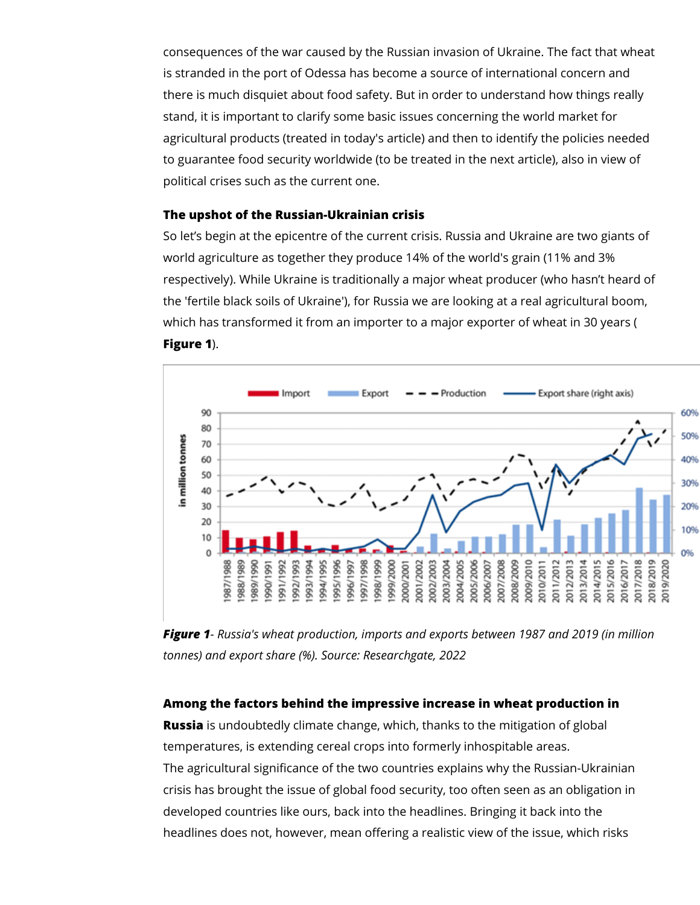consequences of the war caused by the Russian invasion of Ukraine. The fact that wheat is stranded in the port of Odessa has become a source of international concern and there is much disquiet about food safety. But in order to understand how things really stand, it is important to clarify some basic issues concerning the world market for agricultural products (treated in today's article) and then to identify the policies needed to guarantee food security worldwide (to be treated in the next article), also in view of political crises such as the current one.

#### **The upshot of the Russian-Ukrainian crisis**

So let's begin at the epicentre of the current crisis. Russia and Ukraine are two giants of world agriculture as together they produce 14% of the world's grain (11% and 3% respectively). While Ukraine is traditionally a major wheat producer (who hasn't heard of the 'fertile black soils of Ukraine'), for Russia we are looking at a real agricultural boom, which has transformed it from an importer to a major exporter of wheat in 30 years ( **Figure 1**).



*Figure 1- Russia's wheat production, imports and exports between 1987 and 2019 (in million tonnes) and export share (%). Source: Researchgate, 2022*

#### **Among the factors behind the impressive increase in wheat production in**

**Russia** is undoubtedly climate change, which, thanks to the mitigation of global temperatures, is extending cereal crops into formerly inhospitable areas. The agricultural significance of the two countries explains why the Russian-Ukrainian crisis has brought the issue of global food security, too often seen as an obligation in developed countries like ours, back into the headlines. Bringing it back into the headlines does not, however, mean offering a realistic view of the issue, which risks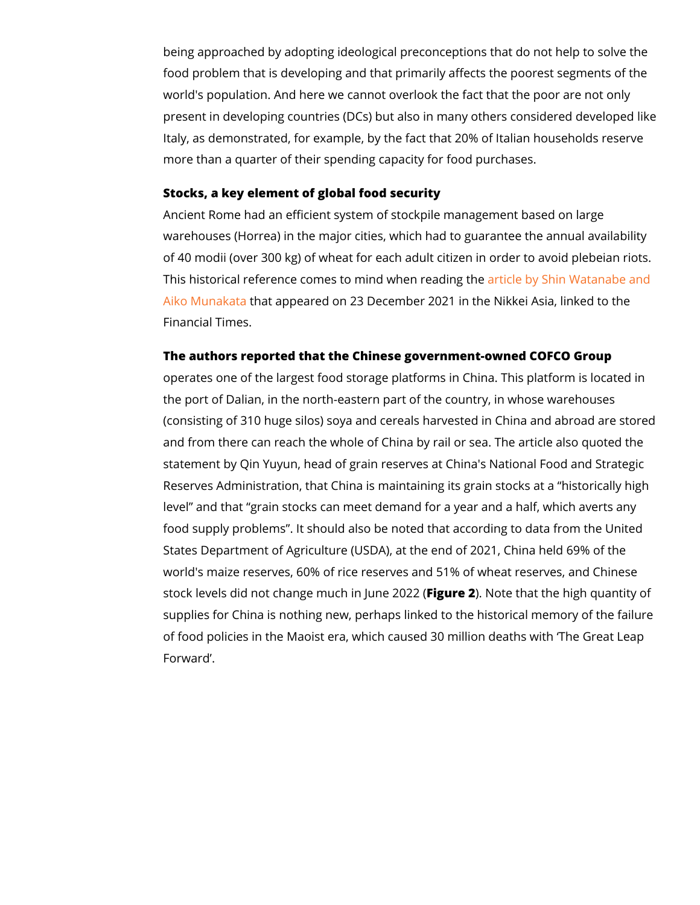being approached by adopting ideological preconceptions that food problem that is developing and that primarily affects the world's population. And here we cannot overlook the fact that present in developing countries (DCs) but also in many others Italy, as demonstrated, for example, by the fact that 20% of It more than a quarter of their spending capacity for food purcha

Stocks, a key element of global food security Ancient Rome had an efficient system of stockpile management warehouses (Horrea) in the major cities, which had to guarante of 40 modii (over 300 kg) of wheat for each adult citizen in or This historical reference comes to minadrtwichloen byea& onling With the anabe [Aiko Muna](https://asia.nikkei.com/Spotlight/Datawatch/China-hoards-over-half-the-world-s-grain-pushing-up-global-prices)khat appeared on 23 December 2021 in the Nikkei As Financial Times.

The authors reported that the Chinese government-owned COF operates one of the largest food storage platforms in China. T the port of Dalian, in the north-eastern part of the country, in (consisting of 310 huge silos) soya and cereals harvested in C and from there can reach the whole of China by rail or sea. Th statement by Qin Yuyun, head of grain reserves at China's Nat Reserves Administration, that China is maintaining its grain st level and that grain stocks can meet demand for a year and a food supply problems . It should also be noted that according States Department of Agriculture (USDA), at the end of 2021, world's maize reserves, 60% of rice reserves and 51% of whea stock levels did not change muEhgure). 2 Note that the high quantity of the state that the state that the high supplies for China is nothing new, perhaps linked to the histor of food policies in the Maoist era, which caused 30 million dea Forward .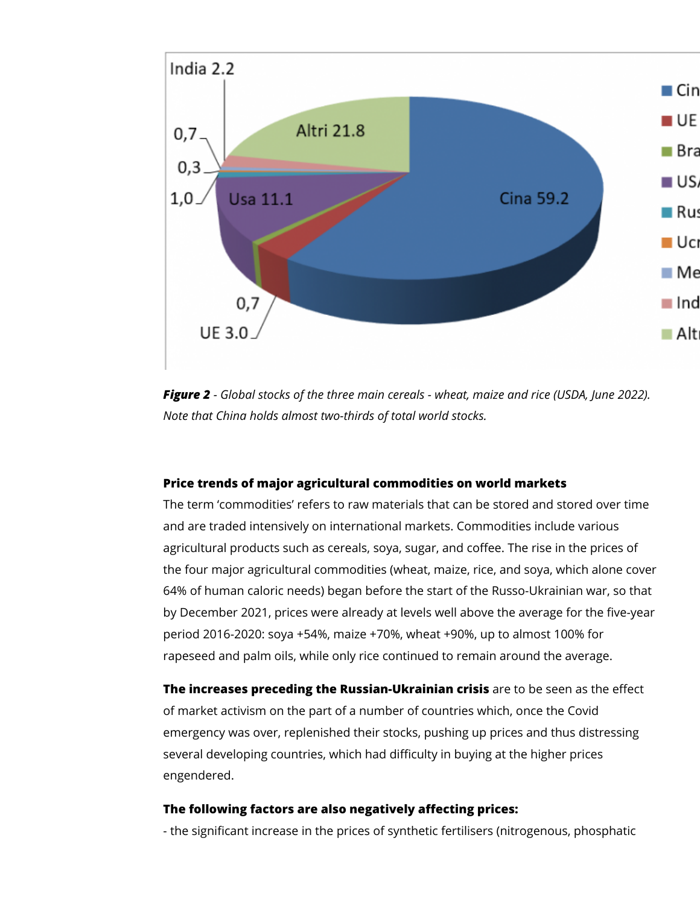

*Figure 2 - Global stocks of the three main cereals - wheat, maize and rice (USDA, June 2022). Note that China holds almost two-thirds of total world stocks.*

### **Price trends of major agricultural commodities on world markets**

The term 'commodities' refers to raw materials that can be stored and stored over time and are traded intensively on international markets. Commodities include various agricultural products such as cereals, soya, sugar, and coffee. The rise in the prices of the four major agricultural commodities (wheat, maize, rice, and soya, which alone cover 64% of human caloric needs) began before the start of the Russo-Ukrainian war, so that by December 2021, prices were already at levels well above the average for the five-year period 2016-2020: soya +54%, maize +70%, wheat +90%, up to almost 100% for rapeseed and palm oils, while only rice continued to remain around the average.

**The increases preceding the Russian-Ukrainian crisis** are to be seen as the effect of market activism on the part of a number of countries which, once the Covid emergency was over, replenished their stocks, pushing up prices and thus distressing several developing countries, which had difficulty in buying at the higher prices engendered.

#### **The following factors are also negatively affecting prices:**

- the significant increase in the prices of synthetic fertilisers (nitrogenous, phosphatic